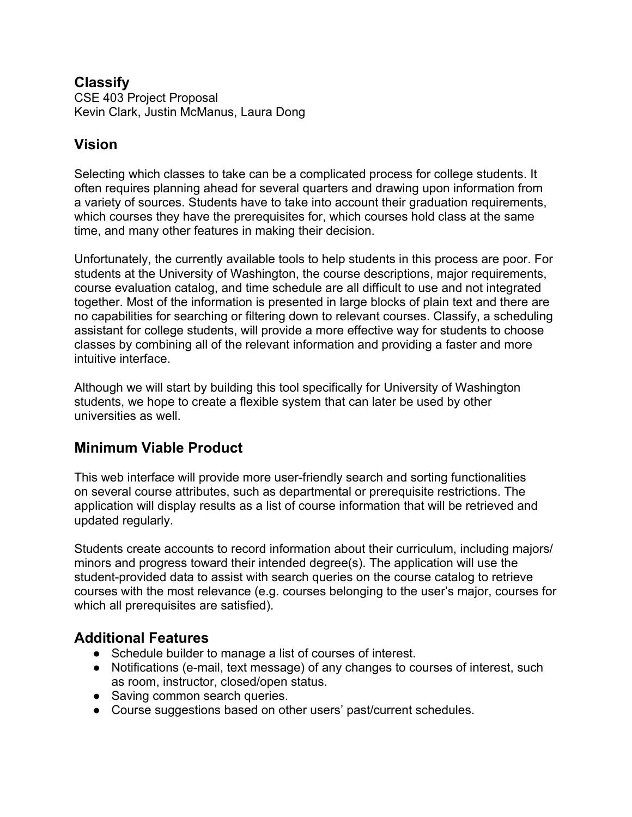#### **Classify**

CSE 403 Project Proposal Kevin Clark, Justin McManus, Laura Dong

## **Vision**

Selecting which classes to take can be a complicated process for college students. It often requires planning ahead for several quarters and drawing upon information from a variety of sources. Students have to take into account their graduation requirements, which courses they have the prerequisites for, which courses hold class at the same time, and many other features in making their decision.

Unfortunately, the currently available tools to help students in this process are poor. For students at the University of Washington, the course descriptions, major requirements, course evaluation catalog, and time schedule are all difficult to use and not integrated together. Most of the information is presented in large blocks of plain text and there are no capabilities for searching or filtering down to relevant courses. Classify, a scheduling assistant for college students, will provide a more effective way for students to choose classes by combining all of the relevant information and providing a faster and more intuitive interface.

Although we will start by building this tool specifically for University of Washington students, we hope to create a flexible system that can later be used by other universities as well.

# **Minimum Viable Product**

This web interface will provide more user-friendly search and sorting functionalities on several course attributes, such as departmental or prerequisite restrictions. The application will display results as a list of course information that will be retrieved and updated regularly.

Students create accounts to record information about their curriculum, including majors/ minors and progress toward their intended degree(s). The application will use the student-provided data to assist with search queries on the course catalog to retrieve courses with the most relevance (e.g. courses belonging to the user's major, courses for which all prerequisites are satisfied).

## **Additional Features**

- Schedule builder to manage a list of courses of interest.
- Notifications (e-mail, text message) of any changes to courses of interest, such as room, instructor, closed/open status.
- Saving common search queries.
- Course suggestions based on other users' past/current schedules.